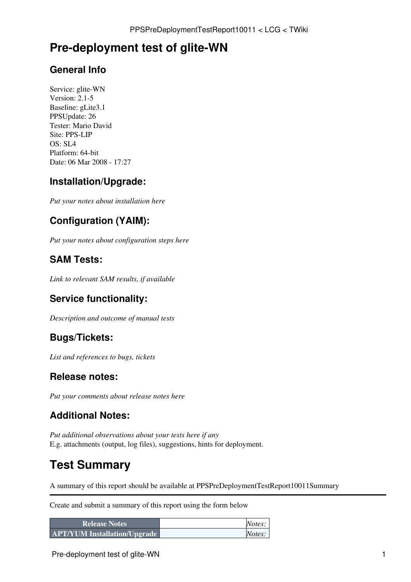## **Pre-deployment test of glite-WN**

#### **General Info**

Service: glite-WN Version: 2.1-5 Baseline: gLite3.1 PPSUpdate: 26 Tester: Mario David Site: PPS-LIP  $OS: SI A$ Platform: 64-bit Date: 06 Mar 2008 - 17:27

#### **Installation/Upgrade:**

*Put your notes about installation here*

### **Configuration (YAIM):**

*Put your notes about configuration steps here*

#### **SAM Tests:**

*Link to relevant SAM results, if available*

#### **Service functionality:**

*Description and outcome of manual tests*

#### **Bugs/Tickets:**

*List and references to bugs, tickets*

#### **Release notes:**

*Put your comments about release notes here*

### **Additional Notes:**

*Put additional observations about your tests here if any* E.g. attachments (output, log files), suggestions, hints for deployment.

# **Test Summary**

A summary of this report should be available at PPSPreDeploymentTestReport10011Summary

Create and submit a summary of this report using the form below

| <b>Release Notes</b>                | Notes: |
|-------------------------------------|--------|
| <b>APT/YUM Installation/Upgrade</b> | Notes: |